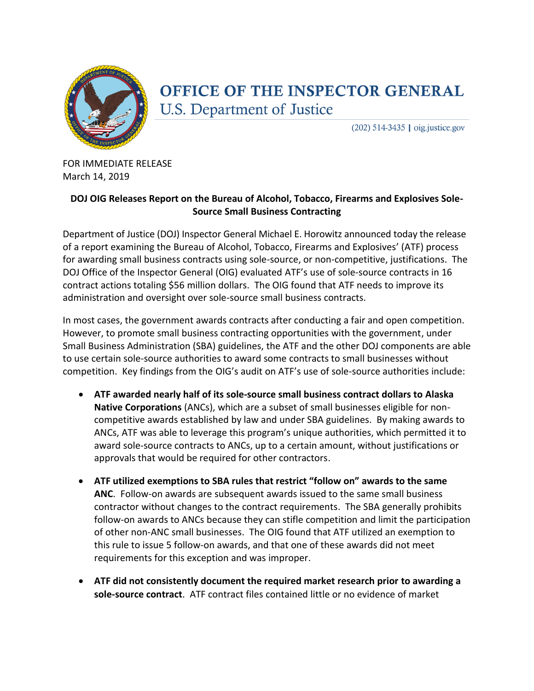

## OFFICE OF THE INSPECTOR GENERAL **U.S. Department of Justice**

 $(202)$  514-3435 | oig.justice.gov

FOR IMMEDIATE RELEASE March 14, 2019

## **DOJ OIG Releases Report on the Bureau of Alcohol, Tobacco, Firearms and Explosives Sole-Source Small Business Contracting**

Department of Justice (DOJ) Inspector General Michael E. Horowitz announced today the release of a report examining the Bureau of Alcohol, Tobacco, Firearms and Explosives' (ATF) process for awarding small business contracts using sole-source, or non-competitive, justifications. The DOJ Office of the Inspector General (OIG) evaluated ATF's use of sole-source contracts in 16 contract actions totaling \$56 million dollars. The OIG found that ATF needs to improve its administration and oversight over sole-source small business contracts.

In most cases, the government awards contracts after conducting a fair and open competition. However, to promote small business contracting opportunities with the government, under Small Business Administration (SBA) guidelines, the ATF and the other DOJ components are able to use certain sole-source authorities to award some contracts to small businesses without competition. Key findings from the OIG's audit on ATF's use of sole-source authorities include:

- **ATF awarded nearly half of its sole-source small business contract dollars to Alaska Native Corporations** (ANCs), which are a subset of small businesses eligible for noncompetitive awards established by law and under SBA guidelines. By making awards to ANCs, ATF was able to leverage this program's unique authorities, which permitted it to award sole-source contracts to ANCs, up to a certain amount, without justifications or approvals that would be required for other contractors.
- **ATF utilized exemptions to SBA rules that restrict "follow on" awards to the same ANC**. Follow-on awards are subsequent awards issued to the same small business contractor without changes to the contract requirements. The SBA generally prohibits follow-on awards to ANCs because they can stifle competition and limit the participation of other non-ANC small businesses. The OIG found that ATF utilized an exemption to this rule to issue 5 follow-on awards, and that one of these awards did not meet requirements for this exception and was improper.
- **ATF did not consistently document the required market research prior to awarding a sole-source contract**. ATF contract files contained little or no evidence of market